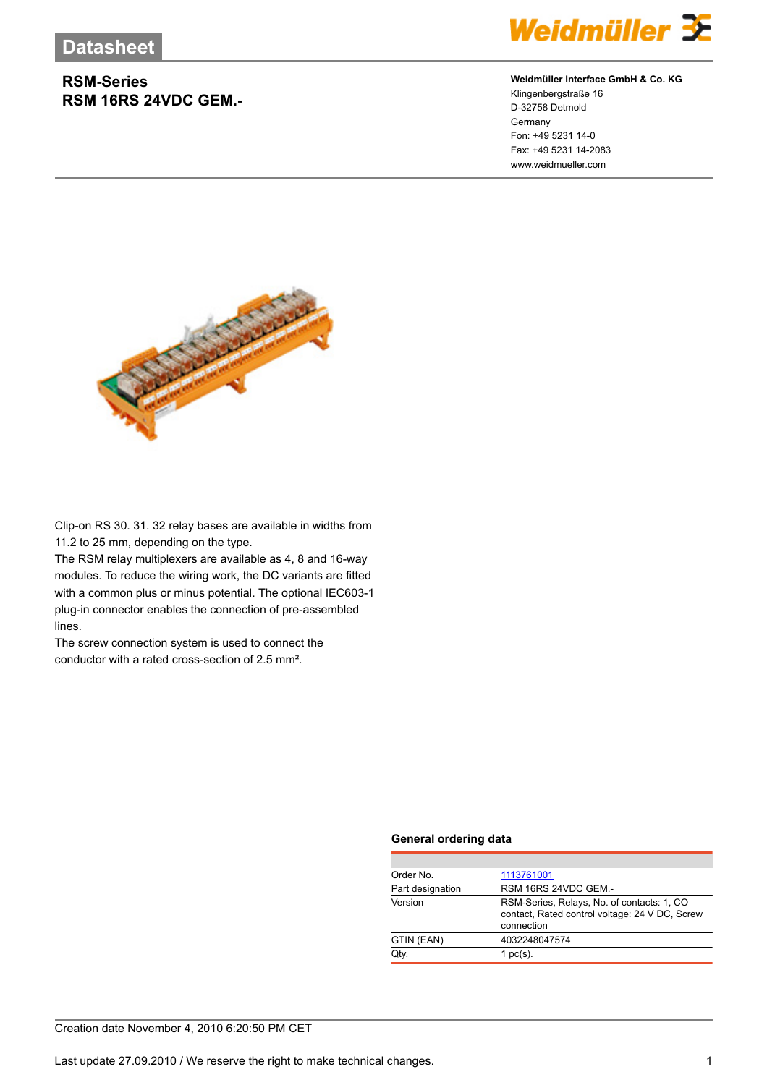## **RSM-Series RSM 16RS 24VDC GEM.-**



### **Weidmüller Interface GmbH & Co. KG**

Klingenbergstraße 16 D-32758 Detmold **Germany** Fon: +49 5231 14-0 Fax: +49 5231 14-2083 www.weidmueller.com



Clip-on RS 30. 31. 32 relay bases are available in widths from 11.2 to 25 mm, depending on the type.

The RSM relay multiplexers are available as 4, 8 and 16-way modules. To reduce the wiring work, the DC variants are fitted with a common plus or minus potential. The optional IEC603-1 plug-in connector enables the connection of pre-assembled lines.

The screw connection system is used to connect the conductor with a rated cross-section of 2.5 mm².

#### **General ordering data**

| Order No.        | 1113761001                                                                                                  |
|------------------|-------------------------------------------------------------------------------------------------------------|
| Part designation | RSM 16RS 24VDC GEM.-                                                                                        |
| Version          | RSM-Series, Relays, No. of contacts: 1, CO.<br>contact, Rated control voltage: 24 V DC, Screw<br>connection |
| GTIN (EAN)       | 4032248047574                                                                                               |
| Qtv.             | 1 $pc(s)$ .                                                                                                 |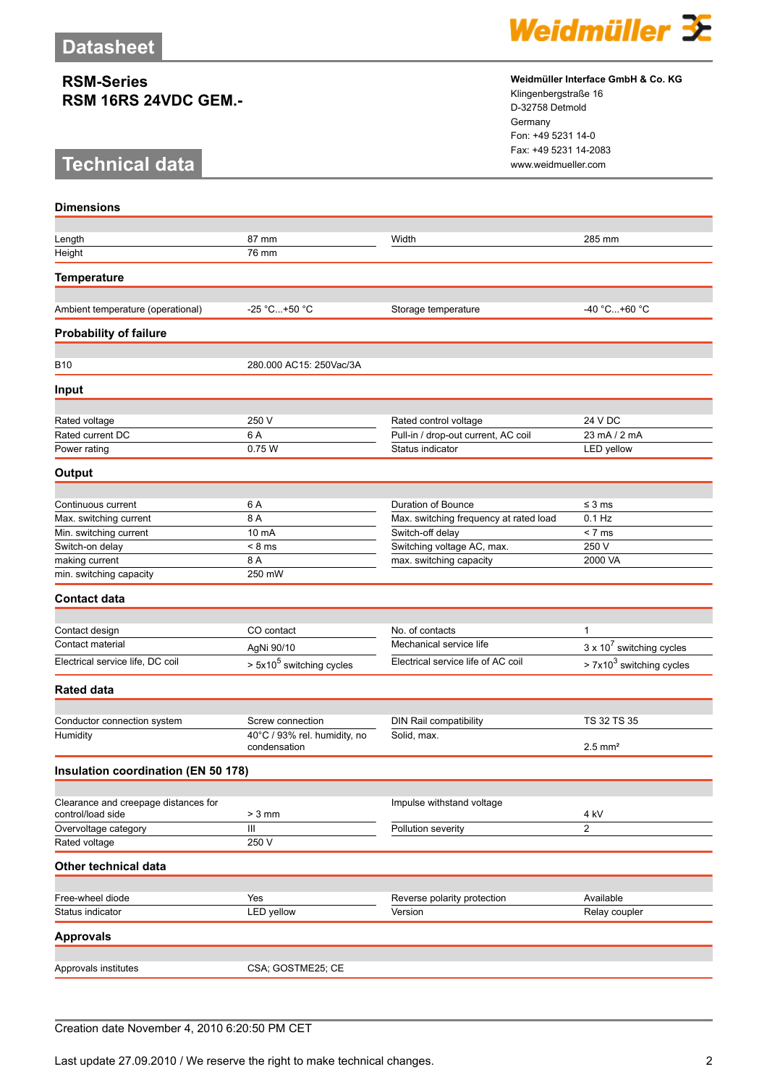## **RSM-Series RSM 16RS 24VDC GEM.-**

# **Technical data** www.weidmueller.com

**Dimensions**



#### **Weidmüller Interface GmbH & Co. KG**

Klingenbergstraße 16 D-32758 Detmold Germany Fon: +49 5231 14-0 Fax: +49 5231 14-2083

| Length                                                    | 87 mm                                | Width                                                   | 285 mm                           |
|-----------------------------------------------------------|--------------------------------------|---------------------------------------------------------|----------------------------------|
| Height                                                    | 76 mm                                |                                                         |                                  |
|                                                           |                                      |                                                         |                                  |
| <b>Temperature</b>                                        |                                      |                                                         |                                  |
| Ambient temperature (operational)                         | -25 °C+50 °C                         | Storage temperature                                     | -40 °C+60 °C                     |
|                                                           |                                      |                                                         |                                  |
| <b>Probability of failure</b>                             |                                      |                                                         |                                  |
| <b>B10</b>                                                | 280.000 AC15: 250Vac/3A              |                                                         |                                  |
| Input                                                     |                                      |                                                         |                                  |
|                                                           |                                      |                                                         |                                  |
| Rated voltage                                             | 250 V                                | Rated control voltage                                   | 24 V DC                          |
| Rated current DC                                          | 6 A<br>0.75W                         | Pull-in / drop-out current, AC coil<br>Status indicator | 23 mA / 2 mA<br>LED yellow       |
| Power rating                                              |                                      |                                                         |                                  |
| Output                                                    |                                      |                                                         |                                  |
| Continuous current                                        | 6 A                                  | Duration of Bounce                                      | $\leq$ 3 ms                      |
| Max. switching current                                    | 8 A                                  | Max. switching frequency at rated load                  | $0.1$ Hz                         |
| Min. switching current                                    | 10 mA                                | Switch-off delay                                        | < 7 ms                           |
| Switch-on delay                                           | $< 8$ ms                             | Switching voltage AC, max.                              | 250 V                            |
| making current                                            | 8 A                                  | max. switching capacity                                 | 2000 VA                          |
| min. switching capacity                                   | 250 mW                               |                                                         |                                  |
| <b>Contact data</b>                                       |                                      |                                                         |                                  |
|                                                           |                                      |                                                         |                                  |
| Contact design                                            | CO contact                           | No. of contacts                                         | 1                                |
| Contact material                                          | AgNi 90/10                           | Mechanical service life                                 | $3 \times 10^7$ switching cycles |
| Electrical service life, DC coil                          | > 5x10 <sup>5</sup> switching cycles | Electrical service life of AC coil                      | $> 7x103$ switching cycles       |
|                                                           |                                      |                                                         |                                  |
| <b>Rated data</b>                                         |                                      |                                                         |                                  |
| Conductor connection system                               | Screw connection                     | DIN Rail compatibility                                  | TS 32 TS 35                      |
| Humidity                                                  | 40°C / 93% rel. humidity, no         | Solid, max.                                             |                                  |
|                                                           | condensation                         |                                                         | $2.5$ mm <sup>2</sup>            |
| Insulation coordination (EN 50 178)                       |                                      |                                                         |                                  |
|                                                           |                                      |                                                         |                                  |
| Clearance and creepage distances for<br>control/load side | $> 3$ mm                             | Impulse withstand voltage                               | 4 kV                             |
| Overvoltage category                                      | $\mathbf{III}$                       | Pollution severity                                      | $\overline{c}$                   |
| Rated voltage                                             | 250 V                                |                                                         |                                  |
| Other technical data                                      |                                      |                                                         |                                  |
|                                                           |                                      |                                                         |                                  |
| Free-wheel diode                                          | Yes                                  | Reverse polarity protection                             | Available                        |
| Status indicator                                          | LED yellow                           | Version                                                 | Relay coupler                    |
| <b>Approvals</b>                                          |                                      |                                                         |                                  |
|                                                           |                                      |                                                         |                                  |
| Approvals institutes                                      | CSA; GOSTME25; CE                    |                                                         |                                  |